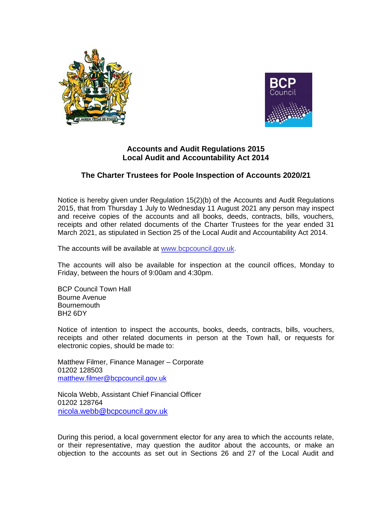



## **Accounts and Audit Regulations 2015 Local Audit and Accountability Act 2014**

## **The Charter Trustees for Poole Inspection of Accounts 2020/21**

Notice is hereby given under Regulation 15(2)(b) of the Accounts and Audit Regulations 2015, that from Thursday 1 July to Wednesday 11 August 2021 any person may inspect and receive copies of the accounts and all books, deeds, contracts, bills, vouchers, receipts and other related documents of the Charter Trustees for the year ended 31 March 2021, as stipulated in Section 25 of the Local Audit and Accountability Act 2014.

The accounts will be available at www[.bcpcouncil.gov.uk.](http://www.bcpcouncil.gov.uk/)

The accounts will also be available for inspection at the council offices, Monday to Friday, between the hours of 9:00am and 4:30pm.

BCP Council Town Hall Bourne Avenue Bournemouth BH2 6DY

Notice of intention to inspect the accounts, books, deeds, contracts, bills, vouchers, receipts and other related documents in person at the Town hall, or requests for electronic copies, should be made to:

Matthew Filmer, Finance Manager – Corporate 01202 128503 [matthew.filmer@bcpcouncil.gov.uk](mailto:matthew.filmer@bcpcouncil.gov.uk)

Nicola Webb, Assistant Chief Financial Officer 01202 128764 [nicola.webb@bcpcouncil.gov.uk](mailto:nicola.webb@bcpcouncil.gov.uk)

During this period, a local government elector for any area to which the accounts relate, or their representative, may question the auditor about the accounts, or make an objection to the accounts as set out in Sections 26 and 27 of the Local Audit and